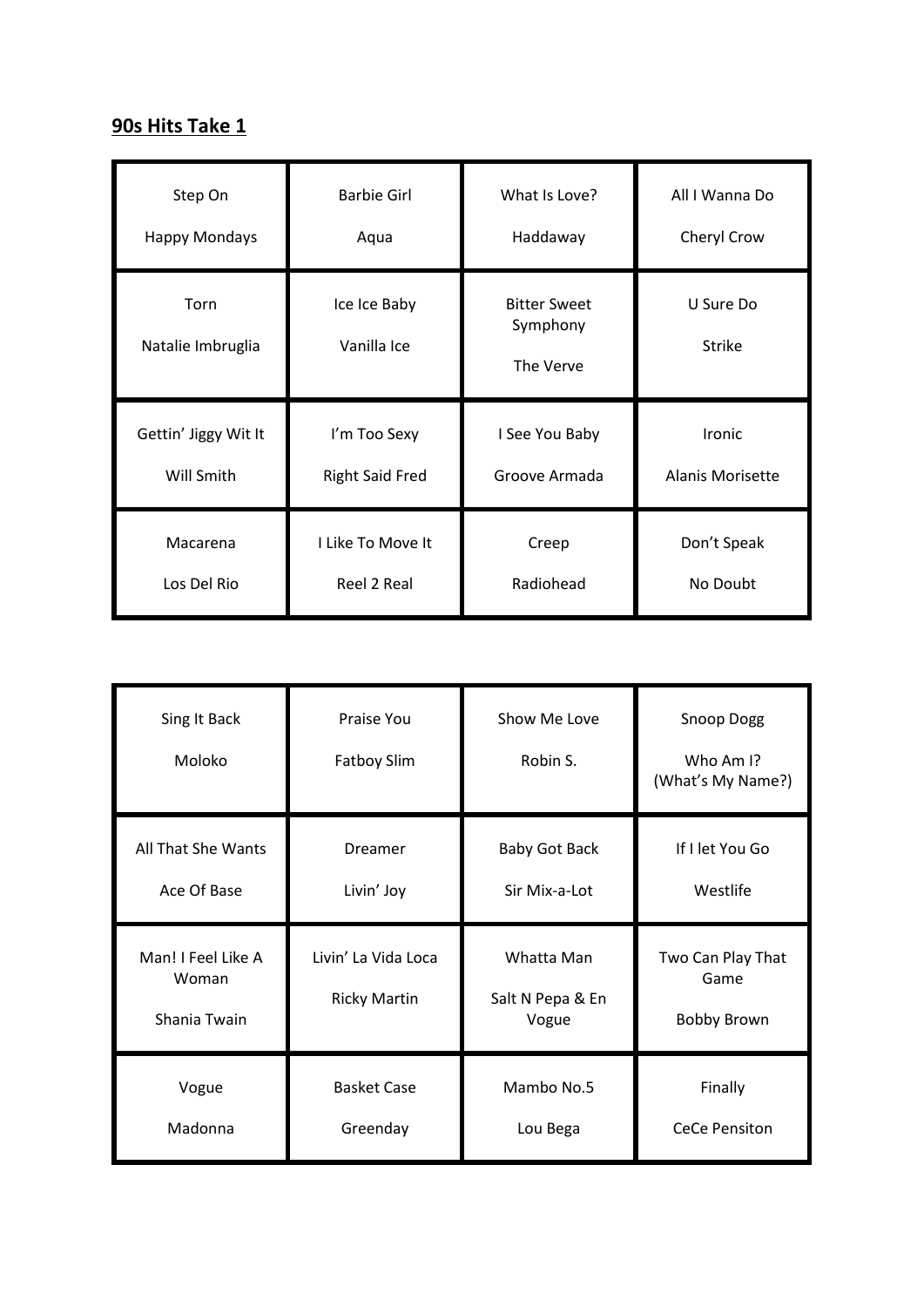## **90s Hits Take 1**

| Step On                   | <b>Barbie Girl</b>          | What Is Love?                                | All I Wanna Do             |
|---------------------------|-----------------------------|----------------------------------------------|----------------------------|
| <b>Happy Mondays</b>      | Aqua                        | Haddaway                                     | Cheryl Crow                |
| Torn<br>Natalie Imbruglia | Ice Ice Baby<br>Vanilla Ice | <b>Bitter Sweet</b><br>Symphony<br>The Verve | U Sure Do<br><b>Strike</b> |
| Gettin' Jiggy Wit It      | I'm Too Sexy                | I See You Baby                               | Ironic                     |
| Will Smith                | <b>Right Said Fred</b>      | Groove Armada                                | <b>Alanis Morisette</b>    |
| Macarena                  | I Like To Move It           | Creep                                        | Don't Speak                |
| Los Del Rio               | Reel 2 Real                 | Radiohead                                    | No Doubt                   |

| Sing It Back<br>Moloko                      | Praise You<br>Fatboy Slim                  | Show Me Love<br>Robin S.                | Snoop Dogg<br>Who Am I?<br>(What's My Name?)    |
|---------------------------------------------|--------------------------------------------|-----------------------------------------|-------------------------------------------------|
| All That She Wants<br>Ace Of Base           | Dreamer<br>Livin' Joy                      | <b>Baby Got Back</b><br>Sir Mix-a-Lot   | If I let You Go<br>Westlife                     |
|                                             |                                            |                                         |                                                 |
| Man! I Feel Like A<br>Woman<br>Shania Twain | Livin' La Vida Loca<br><b>Ricky Martin</b> | Whatta Man<br>Salt N Pepa & En<br>Vogue | Two Can Play That<br>Game<br><b>Bobby Brown</b> |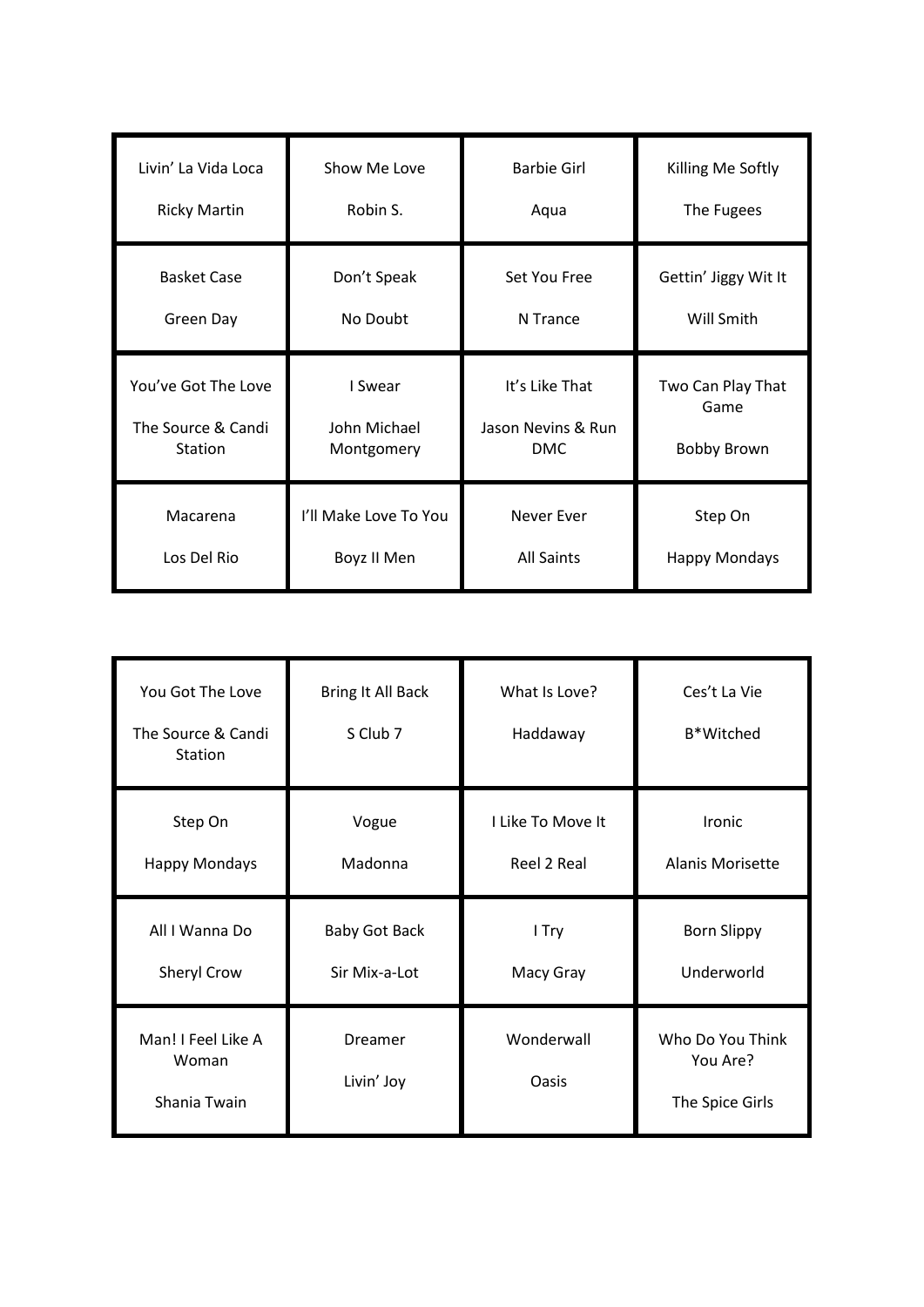| Livin' La Vida Loca | Show Me Love          | <b>Barbie Girl</b> | Killing Me Softly    |
|---------------------|-----------------------|--------------------|----------------------|
| <b>Ricky Martin</b> | Robin S.              | Aqua               | The Fugees           |
| <b>Basket Case</b>  | Don't Speak           | Set You Free       | Gettin' Jiggy Wit It |
| Green Day           | No Doubt              | N Trance           | Will Smith           |
| You've Got The Love | I Swear               | It's Like That     | Two Can Play That    |
| The Source & Candi  | John Michael          | Jason Nevins & Run | Game                 |
| Station             | Montgomery            | DMC.               | <b>Bobby Brown</b>   |
| Macarena            | I'll Make Love To You | <b>Never Ever</b>  | Step On              |
| Los Del Rio         | Boyz II Men           | <b>All Saints</b>  | <b>Happy Mondays</b> |

| You Got The Love<br>The Source & Candi<br>Station | Bring It All Back<br>S Club 7 | What Is Love?<br>Haddaway | Ces't La Vie<br><b>B*Witched</b>                |
|---------------------------------------------------|-------------------------------|---------------------------|-------------------------------------------------|
| Step On                                           | Vogue                         | I Like To Move It         | Ironic                                          |
| <b>Happy Mondays</b>                              | Madonna                       | Reel 2 Real               | Alanis Morisette                                |
| All I Wanna Do                                    | <b>Baby Got Back</b>          | I Try                     | <b>Born Slippy</b>                              |
| Sheryl Crow                                       | Sir Mix-a-Lot                 | Macy Gray                 | Underworld                                      |
| Man! I Feel Like A<br>Woman<br>Shania Twain       | Dreamer<br>Livin' Joy         | Wonderwall<br>Oasis       | Who Do You Think<br>You Are?<br>The Spice Girls |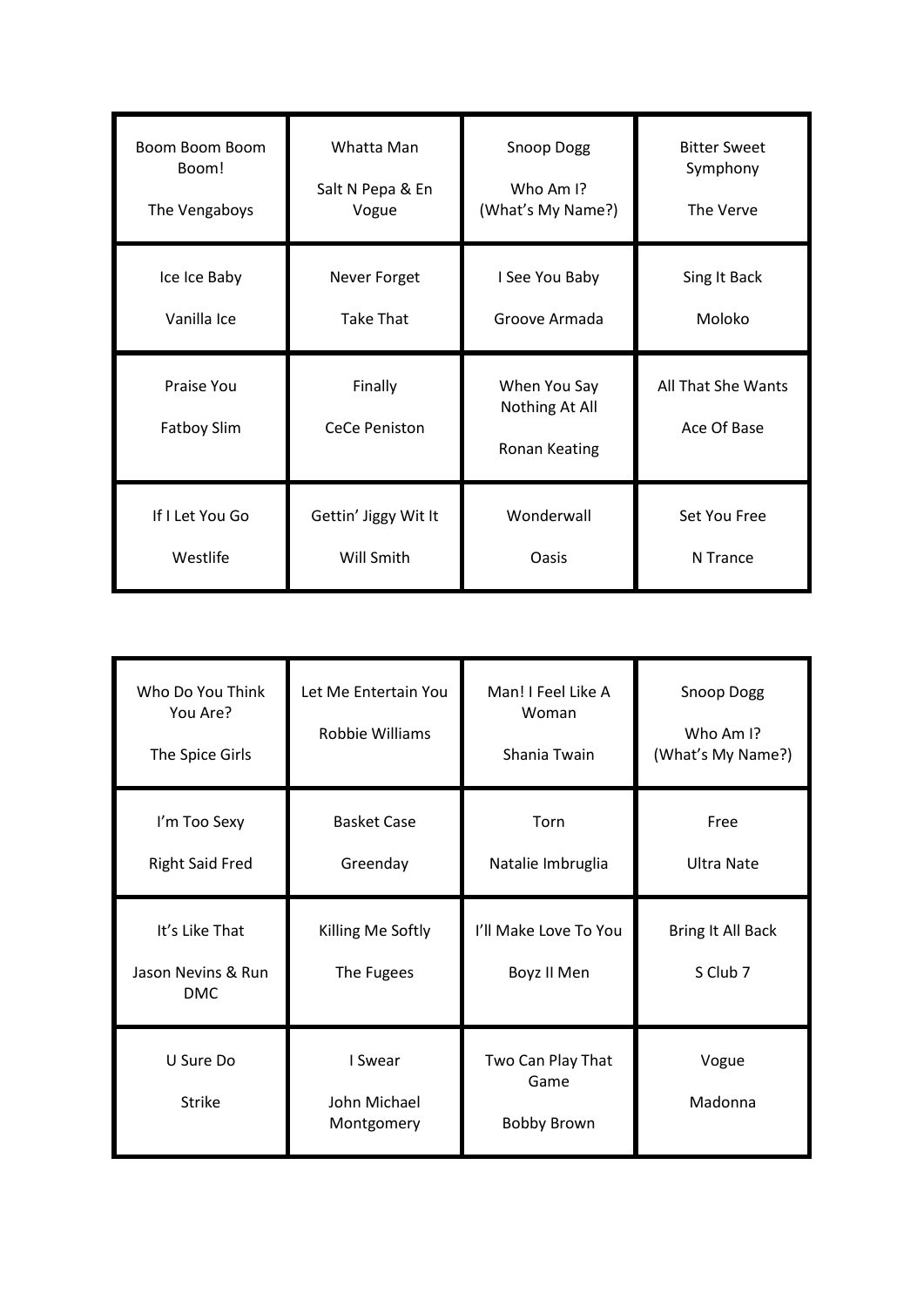| Boom Boom Boom                   | Whatta Man                      | Snoop Dogg                                      | <b>Bitter Sweet</b>               |
|----------------------------------|---------------------------------|-------------------------------------------------|-----------------------------------|
| Boom!                            | Salt N Pepa & En                | Who Am I?                                       | Symphony                          |
| The Vengaboys                    | Vogue                           | (What's My Name?)                               | The Verve                         |
| Ice Ice Baby                     | Never Forget                    | I See You Baby                                  | Sing It Back                      |
| Vanilla Ice                      | <b>Take That</b>                | Groove Armada                                   | Moloko                            |
|                                  |                                 |                                                 |                                   |
| Praise You<br><b>Fatboy Slim</b> | Finally<br><b>CeCe Peniston</b> | When You Say<br>Nothing At All<br>Ronan Keating | All That She Wants<br>Ace Of Base |

| Who Do You Think<br>You Are?<br>The Spice Girls    | Let Me Entertain You<br>Robbie Williams | Man! I Feel Like A<br>Woman<br>Shania Twain     | Snoop Dogg<br>Who Am I?<br>(What's My Name?) |
|----------------------------------------------------|-----------------------------------------|-------------------------------------------------|----------------------------------------------|
| I'm Too Sexy<br><b>Right Said Fred</b>             | <b>Basket Case</b><br>Greenday          | Torn<br>Natalie Imbruglia                       | Free<br><b>Ultra Nate</b>                    |
| It's Like That<br>Jason Nevins & Run<br><b>DMC</b> | Killing Me Softly<br>The Fugees         | I'll Make Love To You<br>Boyz II Men            | Bring It All Back<br>S Club 7                |
| U Sure Do<br><b>Strike</b>                         | I Swear<br>John Michael<br>Montgomery   | Two Can Play That<br>Game<br><b>Bobby Brown</b> | Vogue<br>Madonna                             |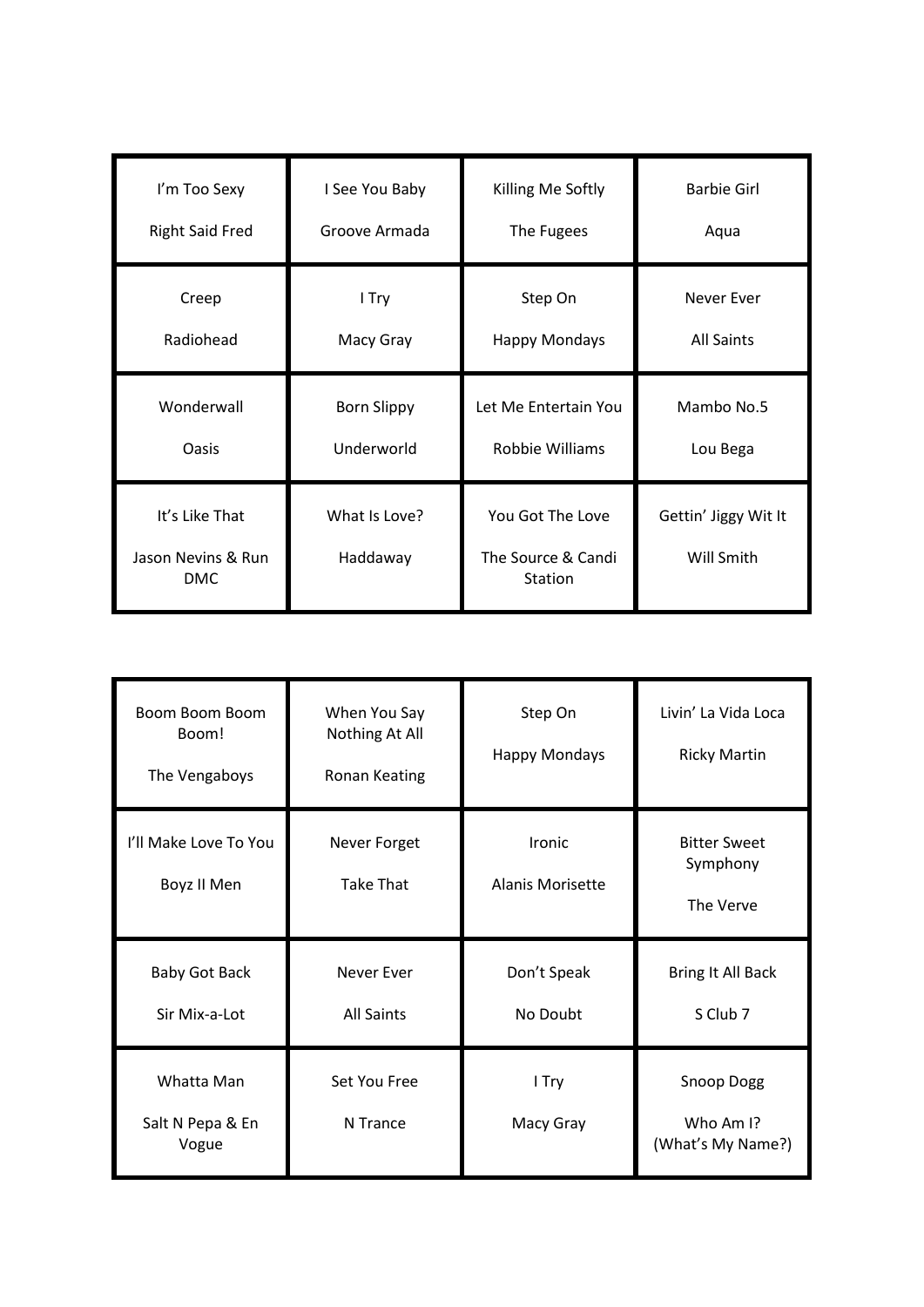| I'm Too Sexy                                 | I See You Baby            | Killing Me Softly                                        | <b>Barbie Girl</b>                 |
|----------------------------------------------|---------------------------|----------------------------------------------------------|------------------------------------|
| <b>Right Said Fred</b>                       | Groove Armada             | The Fugees                                               | Aqua                               |
| Creep                                        | I Try                     | Step On                                                  | <b>Never Ever</b>                  |
| Radiohead                                    | Macy Gray                 | <b>Happy Mondays</b>                                     | <b>All Saints</b>                  |
| Wonderwall                                   | <b>Born Slippy</b>        | Let Me Entertain You                                     | Mambo No.5                         |
| Oasis                                        | Underworld                | Robbie Williams                                          | Lou Bega                           |
| It's Like That<br>Jason Nevins & Run<br>DMC. | What Is Love?<br>Haddaway | You Got The Love<br>The Source & Candi<br><b>Station</b> | Gettin' Jiggy Wit It<br>Will Smith |

| Boom Boom Boom<br>Boom!<br>The Vengaboys | When You Say<br>Nothing At All<br>Ronan Keating | Step On<br><b>Happy Mondays</b>   | Livin' La Vida Loca<br><b>Ricky Martin</b>   |
|------------------------------------------|-------------------------------------------------|-----------------------------------|----------------------------------------------|
| I'll Make Love To You<br>Boyz II Men     | Never Forget<br><b>Take That</b>                | Ironic<br><b>Alanis Morisette</b> | <b>Bitter Sweet</b><br>Symphony<br>The Verve |
| <b>Baby Got Back</b><br>Sir Mix-a-Lot    | Never Ever<br><b>All Saints</b>                 | Don't Speak<br>No Doubt           | Bring It All Back<br>S Club 7                |
| Whatta Man<br>Salt N Pepa & En<br>Vogue  | Set You Free<br>N Trance                        | I Try<br>Macy Gray                | Snoop Dogg<br>Who Am I?<br>(What's My Name?) |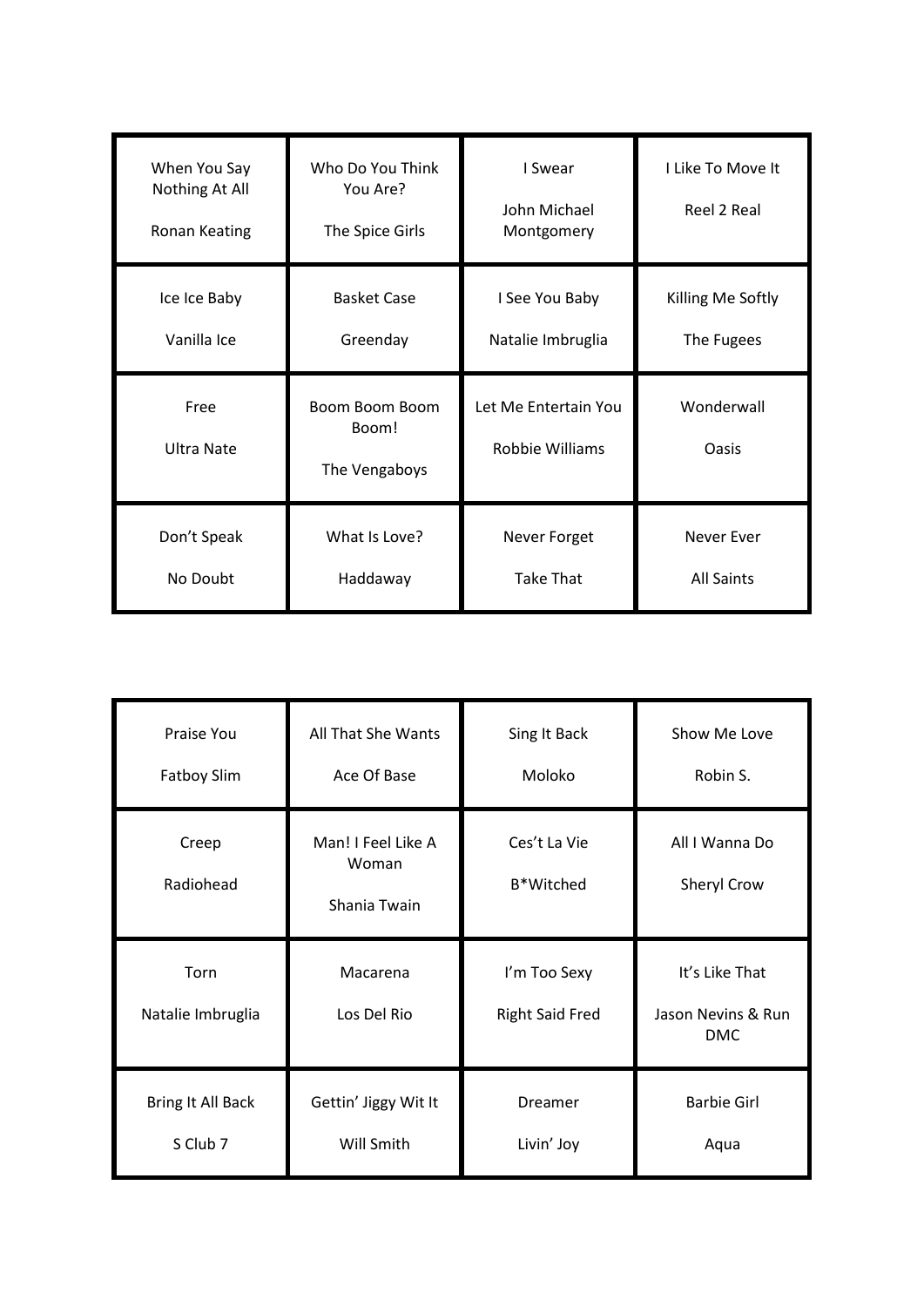| When You Say<br>Nothing At All<br>Ronan Keating | Who Do You Think<br>You Are?<br>The Spice Girls | I Swear<br>John Michael<br>Montgomery   | I Like To Move It<br>Reel 2 Real |
|-------------------------------------------------|-------------------------------------------------|-----------------------------------------|----------------------------------|
| Ice Ice Baby<br>Vanilla Ice                     | <b>Basket Case</b><br>Greenday                  | I See You Baby<br>Natalie Imbruglia     | Killing Me Softly<br>The Fugees  |
|                                                 |                                                 |                                         |                                  |
| Free<br><b>Ultra Nate</b>                       | Boom Boom Boom<br>Boom!<br>The Vengaboys        | Let Me Entertain You<br>Robbie Williams | Wonderwall<br>Oasis              |

| Praise You<br><b>Fatboy Slim</b> | All That She Wants<br>Ace Of Base           | Sing It Back<br>Moloko                 | Show Me Love<br>Robin S.                           |
|----------------------------------|---------------------------------------------|----------------------------------------|----------------------------------------------------|
| Creep<br>Radiohead               | Man! I Feel Like A<br>Woman<br>Shania Twain | Ces't La Vie<br>B*Witched              | All I Wanna Do<br>Sheryl Crow                      |
|                                  |                                             |                                        |                                                    |
| Torn<br>Natalie Imbruglia        | Macarena<br>Los Del Rio                     | I'm Too Sexy<br><b>Right Said Fred</b> | It's Like That<br>Jason Nevins & Run<br><b>DMC</b> |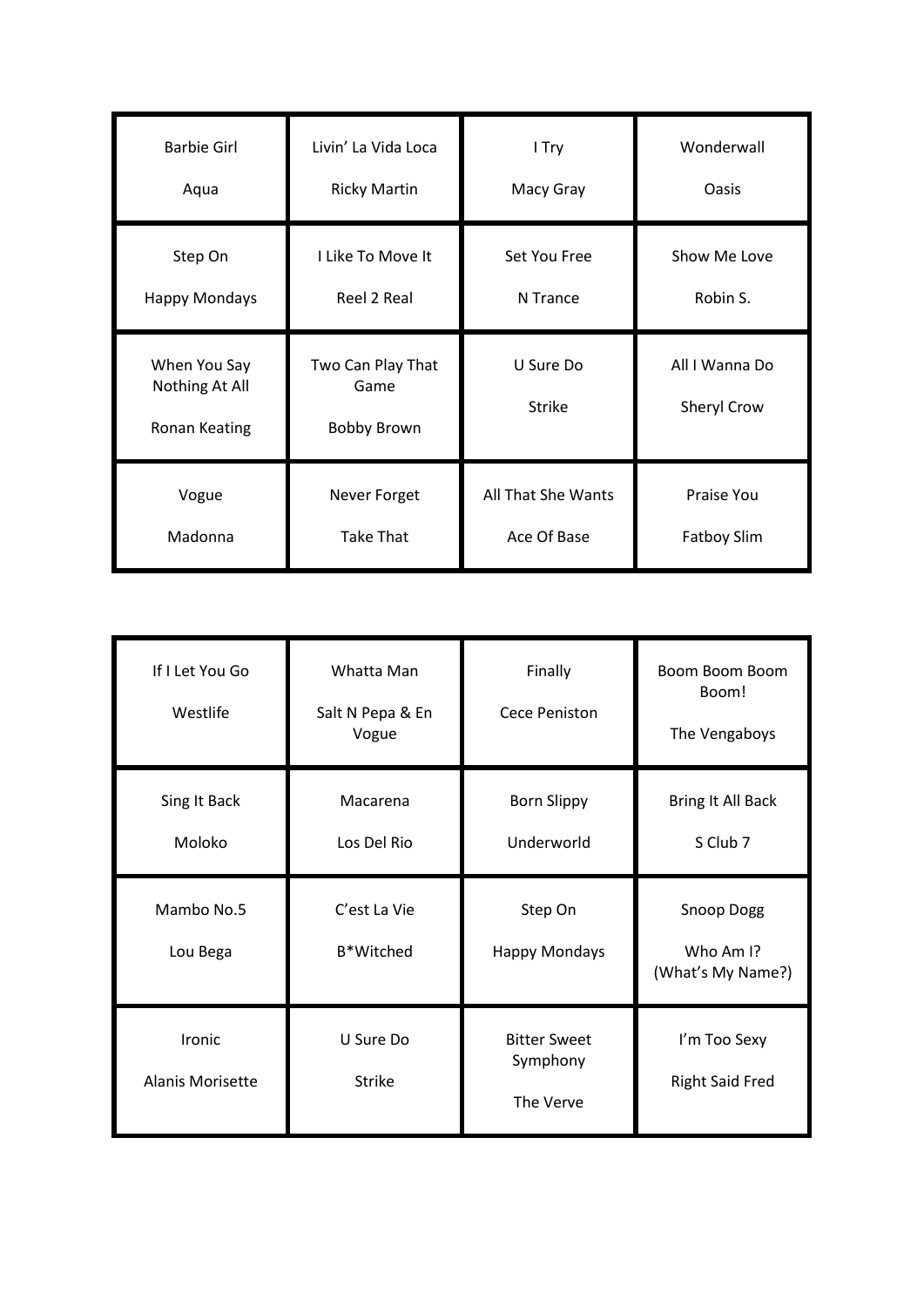| <b>Barbie Girl</b>                              | Livin' La Vida Loca                             | I Try                      | Wonderwall                    |
|-------------------------------------------------|-------------------------------------------------|----------------------------|-------------------------------|
| Aqua                                            | <b>Ricky Martin</b>                             | Macy Gray                  | Oasis                         |
| Step On                                         | I Like To Move It                               | Set You Free               | Show Me Love                  |
| <b>Happy Mondays</b>                            | Reel 2 Real                                     | N Trance                   | Robin S.                      |
| When You Say<br>Nothing At All<br>Ronan Keating | Two Can Play That<br>Game<br><b>Bobby Brown</b> | U Sure Do<br><b>Strike</b> | All I Wanna Do<br>Sheryl Crow |
| Vogue                                           | Never Forget                                    | All That She Wants         | Praise You                    |
| Madonna                                         | <b>Take That</b>                                | Ace Of Base                | <b>Fatboy Slim</b>            |

| If I Let You Go<br>Westlife       | Whatta Man<br>Salt N Pepa & En<br>Vogue | Finally<br>Cece Peniston                     | Boom Boom Boom<br>Boom!<br>The Vengaboys     |
|-----------------------------------|-----------------------------------------|----------------------------------------------|----------------------------------------------|
| Sing It Back<br>Moloko            | Macarena<br>Los Del Rio                 | <b>Born Slippy</b><br>Underworld             | Bring It All Back<br>S Club 7                |
| Mambo No.5<br>Lou Bega            | C'est La Vie<br>B*Witched               | Step On<br><b>Happy Mondays</b>              | Snoop Dogg<br>Who Am I?<br>(What's My Name?) |
| Ironic<br><b>Alanis Morisette</b> | U Sure Do<br><b>Strike</b>              | <b>Bitter Sweet</b><br>Symphony<br>The Verve | I'm Too Sexy<br><b>Right Said Fred</b>       |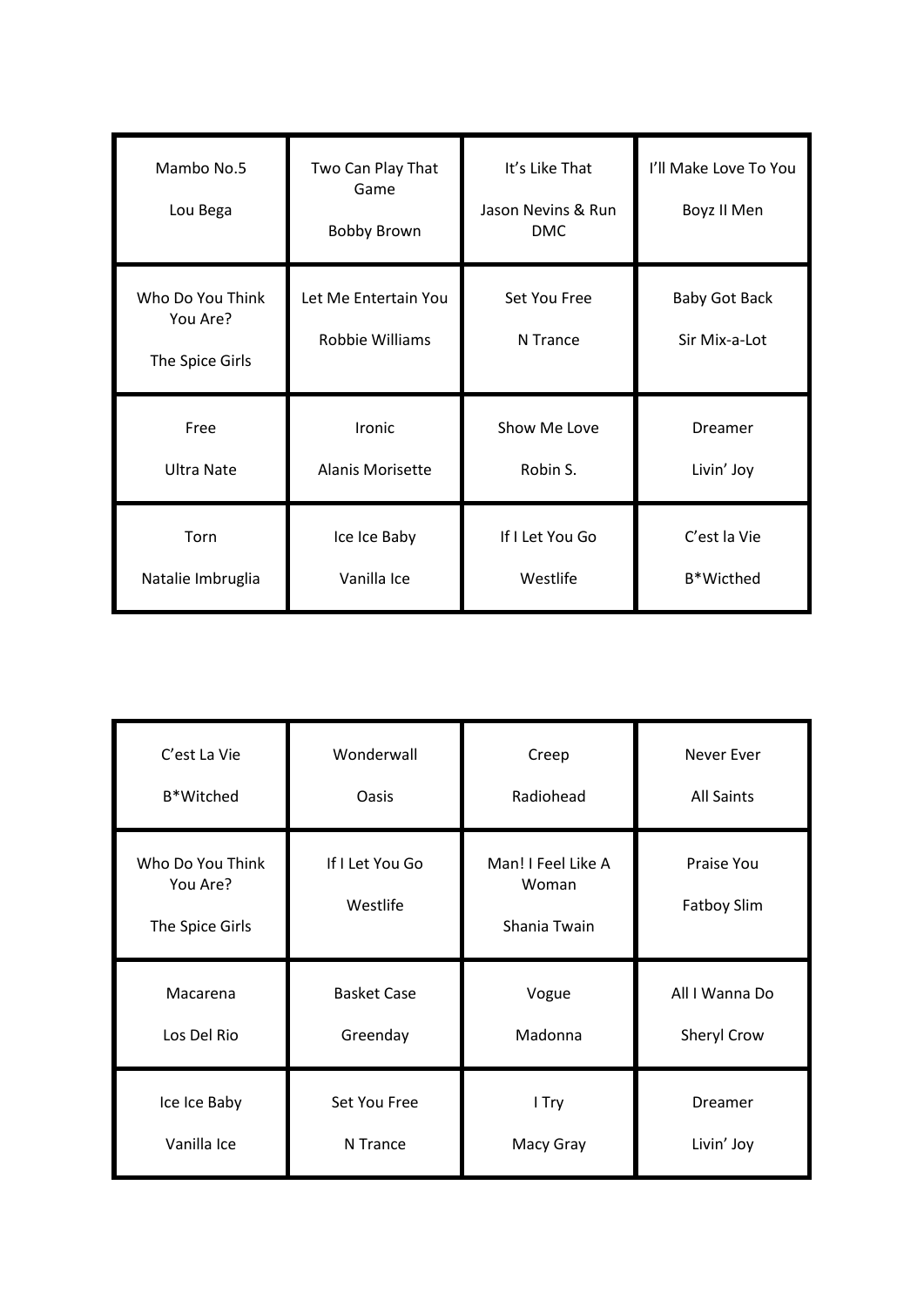| Mambo No.5<br>Lou Bega                          | Two Can Play That<br>Game<br><b>Bobby Brown</b> | It's Like That<br>Jason Nevins & Run<br><b>DMC</b> | I'll Make Love To You<br>Boyz II Men  |
|-------------------------------------------------|-------------------------------------------------|----------------------------------------------------|---------------------------------------|
| Who Do You Think<br>You Are?<br>The Spice Girls | Let Me Entertain You<br>Robbie Williams         | Set You Free<br>N Trance                           | <b>Baby Got Back</b><br>Sir Mix-a-Lot |
| Free                                            | Ironic                                          | Show Me Love                                       | Dreamer                               |
| <b>Ultra Nate</b>                               | <b>Alanis Morisette</b>                         | Robin S.                                           | Livin' Joy                            |
| Torn                                            | Ice Ice Baby                                    | If I Let You Go                                    | C'est la Vie                          |
| Natalie Imbruglia                               | Vanilla Ice                                     | Westlife                                           | B*Wicthed                             |

| C'est La Vie                                    | Wonderwall                  | Creep                                       | <b>Never Ever</b>                |
|-------------------------------------------------|-----------------------------|---------------------------------------------|----------------------------------|
| B*Witched                                       | Oasis                       | Radiohead                                   | <b>All Saints</b>                |
| Who Do You Think<br>You Are?<br>The Spice Girls | If I Let You Go<br>Westlife | Man! I Feel Like A<br>Woman<br>Shania Twain | Praise You<br><b>Fatboy Slim</b> |
| Macarena                                        | <b>Basket Case</b>          | Vogue                                       | All I Wanna Do                   |
| Los Del Rio                                     | Greenday                    | Madonna                                     | Sheryl Crow                      |
| Ice Ice Baby                                    | Set You Free                | I Try                                       | Dreamer                          |
| Vanilla Ice                                     | N Trance                    | Macy Gray                                   | Livin' Joy                       |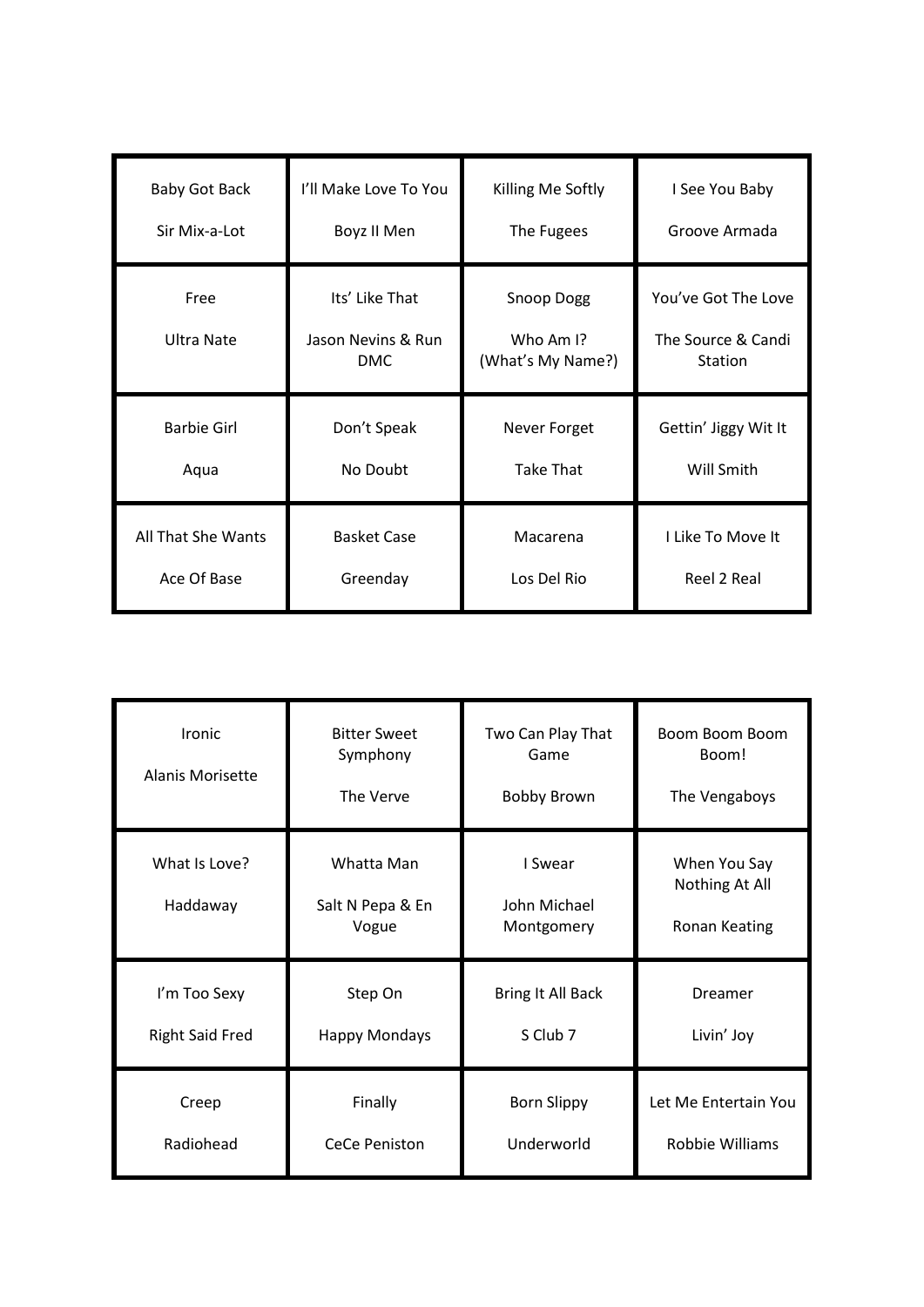| Baby Got Back      | I'll Make Love To You                              | Killing Me Softly                                        | I See You Baby                                       |
|--------------------|----------------------------------------------------|----------------------------------------------------------|------------------------------------------------------|
| Sir Mix-a-Lot      | Boyz II Men                                        | The Fugees                                               | Groove Armada                                        |
| Free<br>Ultra Nate | Its' Like That<br>Jason Nevins & Run<br><b>DMC</b> | Snoop Dogg<br>Who Am $\mathsf{I}$ ?<br>(What's My Name?) | You've Got The Love<br>The Source & Candi<br>Station |
| <b>Barbie Girl</b> | Don't Speak                                        | Never Forget                                             | Gettin' Jiggy Wit It                                 |
| Aqua               | No Doubt                                           | <b>Take That</b>                                         | Will Smith                                           |
| All That She Wants | <b>Basket Case</b>                                 | Macarena                                                 | I Like To Move It                                    |
| Ace Of Base        | Greenday                                           | Los Del Rio                                              | Reel 2 Real                                          |

| Ironic<br>Alanis Morisette | <b>Bitter Sweet</b><br>Symphony<br>The Verve | Two Can Play That<br>Game<br><b>Bobby Brown</b> | Boom Boom Boom<br>Boom!<br>The Vengaboys        |
|----------------------------|----------------------------------------------|-------------------------------------------------|-------------------------------------------------|
| What Is Love?<br>Haddaway  | Whatta Man<br>Salt N Pepa & En<br>Vogue      | I Swear<br>John Michael<br>Montgomery           | When You Say<br>Nothing At All<br>Ronan Keating |
| I'm Too Sexy               | Step On                                      | Bring It All Back                               | Dreamer                                         |
| <b>Right Said Fred</b>     | <b>Happy Mondays</b>                         | S Club 7                                        | Livin' Joy                                      |
| Creep                      | Finally                                      | <b>Born Slippy</b>                              | Let Me Entertain You                            |
| Radiohead                  | <b>CeCe Peniston</b>                         | Underworld                                      | Robbie Williams                                 |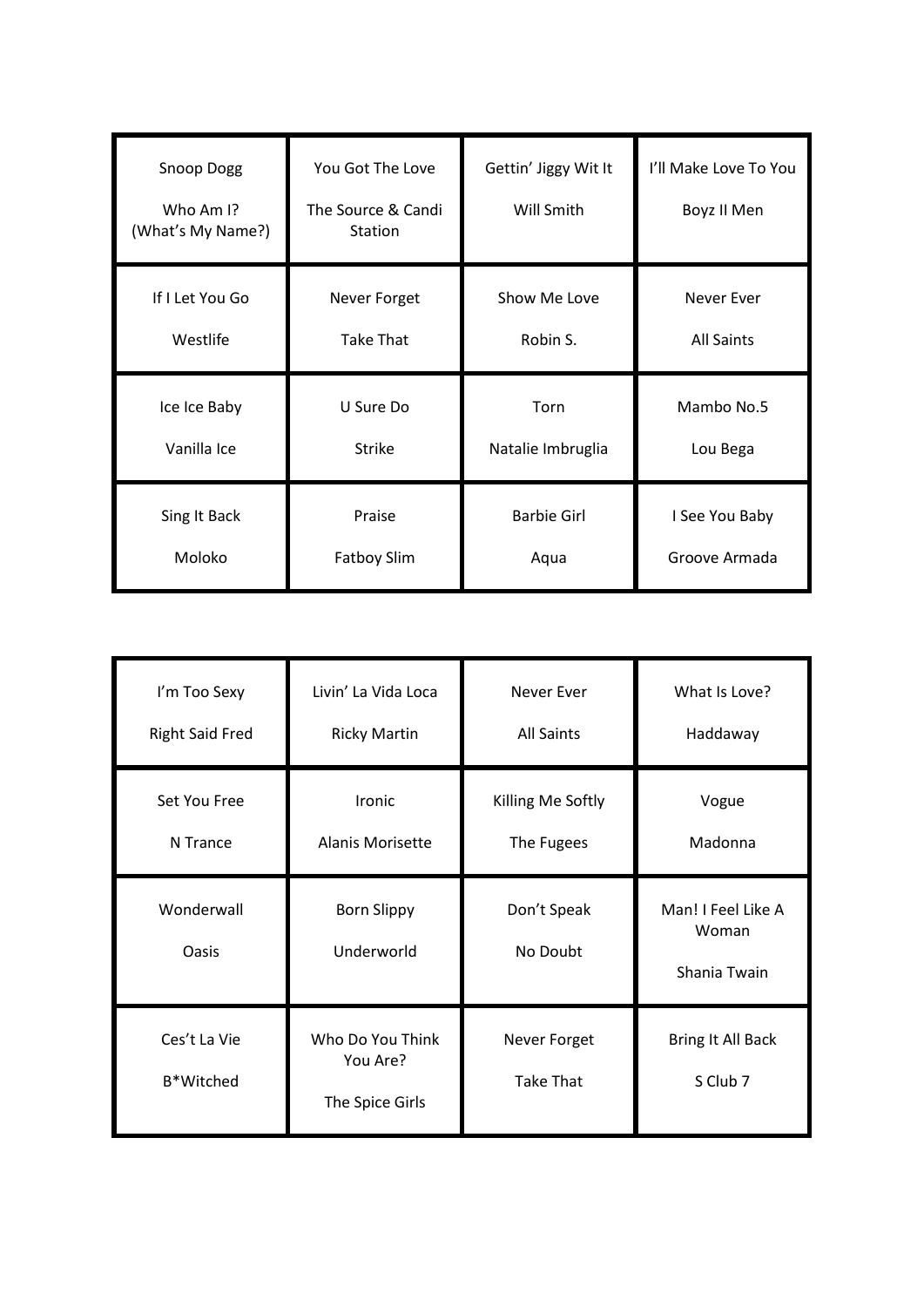| Snoop Dogg<br>Who Am I?<br>(What's My Name?) | You Got The Love<br>The Source & Candi<br>Station | Gettin' Jiggy Wit It<br>Will Smith | I'll Make Love To You<br>Boyz II Men |
|----------------------------------------------|---------------------------------------------------|------------------------------------|--------------------------------------|
| If I Let You Go                              | Never Forget                                      | Show Me Love                       | Never Ever                           |
| Westlife                                     | <b>Take That</b>                                  | Robin S.                           | <b>All Saints</b>                    |
| Ice Ice Baby                                 | U Sure Do                                         | Torn                               | Mambo No.5                           |
| Vanilla Ice                                  | <b>Strike</b>                                     | Natalie Imbruglia                  | Lou Bega                             |
| Sing It Back                                 | Praise                                            | <b>Barbie Girl</b>                 | I See You Baby                       |
| Moloko                                       | <b>Fatboy Slim</b>                                | Aqua                               | Groove Armada                        |

| I'm Too Sexy              | Livin' La Vida Loca                             | <b>Never Ever</b>                | What Is Love?                               |
|---------------------------|-------------------------------------------------|----------------------------------|---------------------------------------------|
| <b>Right Said Fred</b>    | <b>Ricky Martin</b>                             | <b>All Saints</b>                | Haddaway                                    |
| Set You Free              | Ironic                                          | Killing Me Softly                | Vogue                                       |
| N Trance                  | Alanis Morisette                                | The Fugees                       | Madonna                                     |
| Wonderwall<br>Oasis       | <b>Born Slippy</b><br>Underworld                | Don't Speak<br>No Doubt          | Man! I Feel Like A<br>Woman<br>Shania Twain |
| Ces't La Vie<br>B*Witched | Who Do You Think<br>You Are?<br>The Spice Girls | Never Forget<br><b>Take That</b> | Bring It All Back<br>S Club 7               |